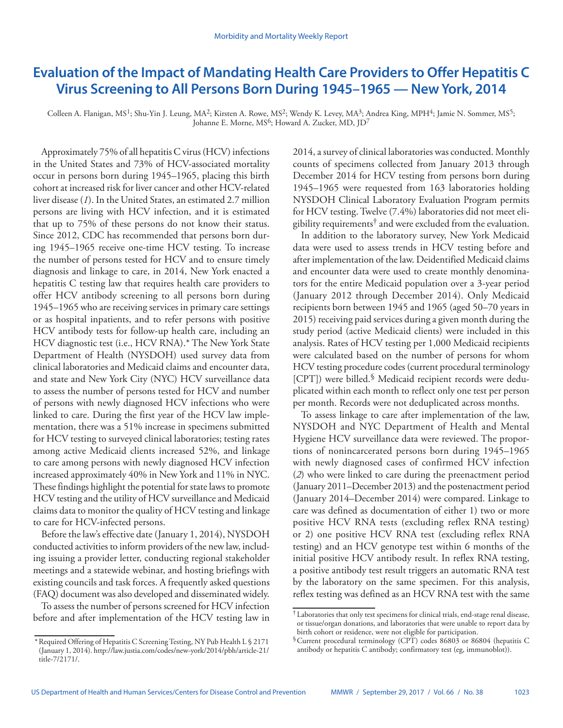# **Evaluation of the Impact of Mandating Health Care Providers to Offer Hepatitis C Virus Screening to All Persons Born During 1945–1965 — New York, 2014**

Colleen A. Flanigan, MS<sup>1</sup>; Shu-Yin J. Leung, MA<sup>2</sup>; Kirsten A. Rowe, MS<sup>2</sup>; Wendy K. Levey, MA<sup>3</sup>; Andrea King, MPH<sup>4</sup>; Jamie N. Sommer, MS<sup>5</sup>; Johanne E. Morne, MS<sup>6</sup>; Howard A. Zucker, MD, JD<sup>7</sup>

Approximately 75% of all hepatitis C virus (HCV) infections in the United States and 73% of HCV-associated mortality occur in persons born during 1945–1965, placing this birth cohort at increased risk for liver cancer and other HCV-related liver disease (*1*). In the United States, an estimated 2.7 million persons are living with HCV infection, and it is estimated that up to 75% of these persons do not know their status. Since 2012, CDC has recommended that persons born during 1945–1965 receive one-time HCV testing. To increase the number of persons tested for HCV and to ensure timely diagnosis and linkage to care, in 2014, New York enacted a hepatitis C testing law that requires health care providers to offer HCV antibody screening to all persons born during 1945–1965 who are receiving services in primary care settings or as hospital inpatients, and to refer persons with positive HCV antibody tests for follow-up health care, including an HCV diagnostic test (i.e., HCV RNA).\* The New York State Department of Health (NYSDOH) used survey data from clinical laboratories and Medicaid claims and encounter data, and state and New York City (NYC) HCV surveillance data to assess the number of persons tested for HCV and number of persons with newly diagnosed HCV infections who were linked to care. During the first year of the HCV law implementation, there was a 51% increase in specimens submitted for HCV testing to surveyed clinical laboratories; testing rates among active Medicaid clients increased 52%, and linkage to care among persons with newly diagnosed HCV infection increased approximately 40% in New York and 11% in NYC. These findings highlight the potential for state laws to promote HCV testing and the utility of HCV surveillance and Medicaid claims data to monitor the quality of HCV testing and linkage to care for HCV-infected persons.

Before the law's effective date (January 1, 2014), NYSDOH conducted activities to inform providers of the new law, including issuing a provider letter, conducting regional stakeholder meetings and a statewide webinar, and hosting briefings with existing councils and task forces. A frequently asked questions (FAQ) document was also developed and disseminated widely.

To assess the number of persons screened for HCV infection before and after implementation of the HCV testing law in 2014, a survey of clinical laboratories was conducted. Monthly counts of specimens collected from January 2013 through December 2014 for HCV testing from persons born during 1945–1965 were requested from 163 laboratories holding NYSDOH Clinical Laboratory Evaluation Program permits for HCV testing. Twelve (7.4%) laboratories did not meet eligibility requirements<sup>†</sup> and were excluded from the evaluation.

In addition to the laboratory survey, New York Medicaid data were used to assess trends in HCV testing before and after implementation of the law. Deidentified Medicaid claims and encounter data were used to create monthly denominators for the entire Medicaid population over a 3-year period (January 2012 through December 2014). Only Medicaid recipients born between 1945 and 1965 (aged 50–70 years in 2015) receiving paid services during a given month during the study period (active Medicaid clients) were included in this analysis. Rates of HCV testing per 1,000 Medicaid recipients were calculated based on the number of persons for whom HCV testing procedure codes (current procedural terminology [CPT]) were billed.§ Medicaid recipient records were deduplicated within each month to reflect only one test per person per month. Records were not deduplicated across months.

To assess linkage to care after implementation of the law, NYSDOH and NYC Department of Health and Mental Hygiene HCV surveillance data were reviewed. The proportions of nonincarcerated persons born during 1945–1965 with newly diagnosed cases of confirmed HCV infection (*2*) who were linked to care during the preenactment period (January 2011–December 2013) and the postenactment period (January 2014–December 2014) were compared. Linkage to care was defined as documentation of either 1) two or more positive HCV RNA tests (excluding reflex RNA testing) or 2) one positive HCV RNA test (excluding reflex RNA testing) and an HCV genotype test within 6 months of the initial positive HCV antibody result. In reflex RNA testing, a positive antibody test result triggers an automatic RNA test by the laboratory on the same specimen. For this analysis, reflex testing was defined as an HCV RNA test with the same

<sup>\*</sup>Required Offering of Hepatitis C Screening Testing, NY Pub Health L § 2171 (January 1, 2014). [http://law.justia.com/codes/new-york/2014/pbh/article-21/](http://law.justia.com/codes/new-york/2014/pbh/article-21/title-7/2171/) [title-7/2171/.](http://law.justia.com/codes/new-york/2014/pbh/article-21/title-7/2171/)

<sup>†</sup> Laboratories that only test specimens for clinical trials, end-stage renal disease, or tissue/organ donations, and laboratories that were unable to report data by birth cohort or residence, were not eligible for participation.

<sup>§</sup>Current procedural terminology (CPT) codes 86803 or 86804 (hepatitis C antibody or hepatitis C antibody; confirmatory test (eg, immunoblot)).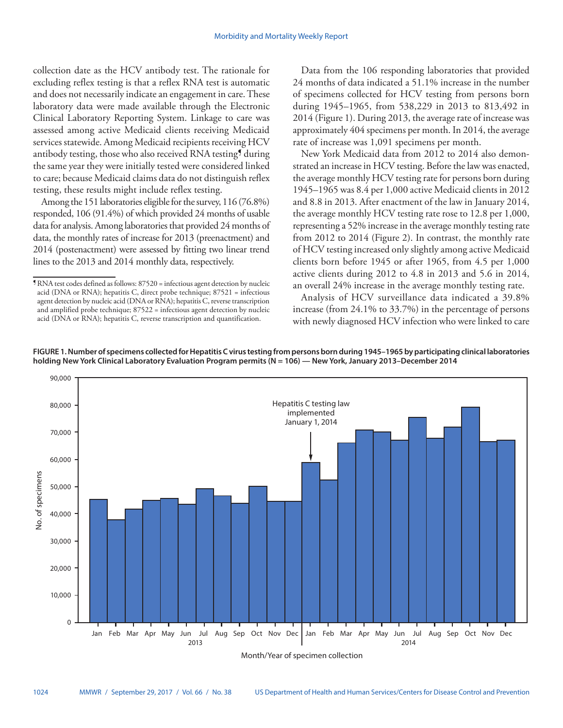collection date as the HCV antibody test. The rationale for excluding reflex testing is that a reflex RNA test is automatic and does not necessarily indicate an engagement in care. These laboratory data were made available through the Electronic Clinical Laboratory Reporting System. Linkage to care was assessed among active Medicaid clients receiving Medicaid services statewide. Among Medicaid recipients receiving HCV antibody testing, those who also received RNA testing<sup>9</sup> during the same year they were initially tested were considered linked to care; because Medicaid claims data do not distinguish reflex testing, these results might include reflex testing.

Among the 151 laboratories eligible for the survey, 116 (76.8%) responded, 106 (91.4%) of which provided 24 months of usable data for analysis. Among laboratories that provided 24 months of data, the monthly rates of increase for 2013 (preenactment) and 2014 (postenactment) were assessed by fitting two linear trend lines to the 2013 and 2014 monthly data, respectively.

Data from the 106 responding laboratories that provided 24 months of data indicated a 51.1% increase in the number of specimens collected for HCV testing from persons born during 1945–1965, from 538,229 in 2013 to 813,492 in 2014 (Figure 1). During 2013, the average rate of increase was approximately 404 specimens per month. In 2014, the average rate of increase was 1,091 specimens per month.

New York Medicaid data from 2012 to 2014 also demonstrated an increase in HCV testing. Before the law was enacted, the average monthly HCV testing rate for persons born during 1945–1965 was 8.4 per 1,000 active Medicaid clients in 2012 and 8.8 in 2013. After enactment of the law in January 2014, the average monthly HCV testing rate rose to 12.8 per 1,000, representing a 52% increase in the average monthly testing rate from 2012 to 2014 (Figure 2). In contrast, the monthly rate of HCV testing increased only slightly among active Medicaid clients born before 1945 or after 1965, from 4.5 per 1,000 active clients during 2012 to 4.8 in 2013 and 5.6 in 2014, an overall 24% increase in the average monthly testing rate.

Analysis of HCV surveillance data indicated a 39.8% increase (from 24.1% to 33.7%) in the percentage of persons with newly diagnosed HCV infection who were linked to care





Month/Year of specimen collection

<sup>¶</sup>RNA test codes defined as follows: 87520 = infectious agent detection by nucleic acid (DNA or RNA); hepatitis C, direct probe technique; 87521 = infectious agent detection by nucleic acid (DNA or RNA); hepatitis C, reverse transcription and amplified probe technique; 87522 = infectious agent detection by nucleic acid (DNA or RNA); hepatitis C, reverse transcription and quantification.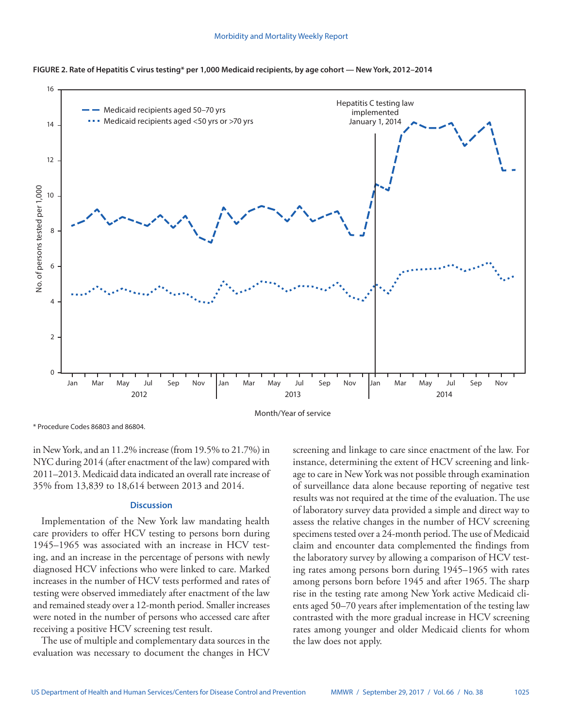

**FIGURE 2. Rate of Hepatitis C virus testing\* per 1,000 Medicaid recipients, by age cohort — New York, 2012–2014** 

\* Procedure Codes 86803 and 86804.

in New York, and an 11.2% increase (from 19.5% to 21.7%) in NYC during 2014 (after enactment of the law) compared with 2011–2013. Medicaid data indicated an overall rate increase of 35% from 13,839 to 18,614 between 2013 and 2014.

# **Discussion**

Implementation of the New York law mandating health care providers to offer HCV testing to persons born during 1945–1965 was associated with an increase in HCV testing, and an increase in the percentage of persons with newly diagnosed HCV infections who were linked to care. Marked increases in the number of HCV tests performed and rates of testing were observed immediately after enactment of the law and remained steady over a 12-month period. Smaller increases were noted in the number of persons who accessed care after receiving a positive HCV screening test result.

The use of multiple and complementary data sources in the evaluation was necessary to document the changes in HCV screening and linkage to care since enactment of the law. For instance, determining the extent of HCV screening and linkage to care in New York was not possible through examination of surveillance data alone because reporting of negative test results was not required at the time of the evaluation. The use of laboratory survey data provided a simple and direct way to assess the relative changes in the number of HCV screening specimens tested over a 24-month period. The use of Medicaid claim and encounter data complemented the findings from the laboratory survey by allowing a comparison of HCV testing rates among persons born during 1945–1965 with rates among persons born before 1945 and after 1965. The sharp rise in the testing rate among New York active Medicaid clients aged 50–70 years after implementation of the testing law contrasted with the more gradual increase in HCV screening rates among younger and older Medicaid clients for whom the law does not apply.